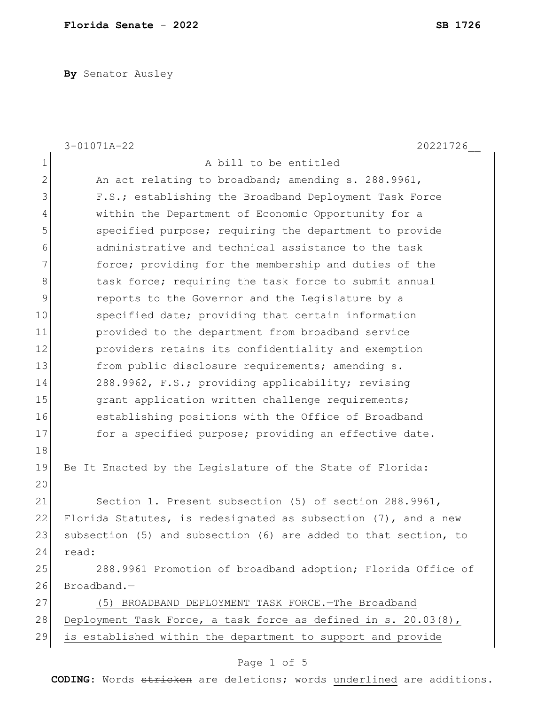**By** Senator Ausley

|                | $3 - 01071A - 22$<br>20221726                                   |
|----------------|-----------------------------------------------------------------|
| $\mathbf 1$    | A bill to be entitled                                           |
| $\overline{2}$ | An act relating to broadband; amending s. 288.9961,             |
| 3              | F.S.; establishing the Broadband Deployment Task Force          |
| 4              | within the Department of Economic Opportunity for a             |
| 5              | specified purpose; requiring the department to provide          |
| 6              | administrative and technical assistance to the task             |
| 7              | force; providing for the membership and duties of the           |
| $\,8\,$        | task force; requiring the task force to submit annual           |
| $\mathcal{G}$  | reports to the Governor and the Legislature by a                |
| 10             | specified date; providing that certain information              |
| 11             | provided to the department from broadband service               |
| 12             | providers retains its confidentiality and exemption             |
| 13             | from public disclosure requirements; amending s.                |
| 14             | 288.9962, F.S.; providing applicability; revising               |
| 15             | grant application written challenge requirements;               |
| 16             | establishing positions with the Office of Broadband             |
| 17             | for a specified purpose; providing an effective date.           |
| 18             |                                                                 |
| 19             | Be It Enacted by the Legislature of the State of Florida:       |
| 20             |                                                                 |
| 21             | Section 1. Present subsection (5) of section 288.9961,          |
| 22             | Florida Statutes, is redesignated as subsection (7), and a new  |
| 23             | subsection (5) and subsection (6) are added to that section, to |
| 24             | read:                                                           |
| 25             | 288.9961 Promotion of broadband adoption; Florida Office of     |
| 26             | Broadband.-                                                     |
| 27             | (5) BROADBAND DEPLOYMENT TASK FORCE. - The Broadband            |
| 28             | Deployment Task Force, a task force as defined in s. 20.03(8),  |
| 29             | is established within the department to support and provide     |
|                | Page 1 of 5                                                     |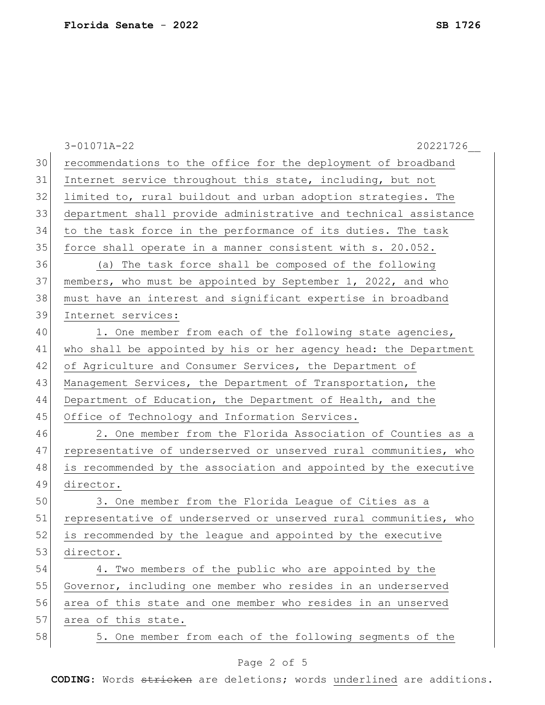|    | $3 - 01071A - 22$<br>20221726                                    |
|----|------------------------------------------------------------------|
| 30 | recommendations to the office for the deployment of broadband    |
| 31 | Internet service throughout this state, including, but not       |
| 32 | limited to, rural buildout and urban adoption strategies. The    |
| 33 | department shall provide administrative and technical assistance |
| 34 | to the task force in the performance of its duties. The task     |
| 35 | force shall operate in a manner consistent with s. 20.052.       |
| 36 | (a) The task force shall be composed of the following            |
| 37 | members, who must be appointed by September 1, 2022, and who     |
| 38 | must have an interest and significant expertise in broadband     |
| 39 | Internet services:                                               |
| 40 | 1. One member from each of the following state agencies,         |
| 41 | who shall be appointed by his or her agency head: the Department |
| 42 | of Agriculture and Consumer Services, the Department of          |
| 43 | Management Services, the Department of Transportation, the       |
| 44 | Department of Education, the Department of Health, and the       |
| 45 | Office of Technology and Information Services.                   |
| 46 | 2. One member from the Florida Association of Counties as a      |
| 47 | representative of underserved or unserved rural communities, who |
| 48 | is recommended by the association and appointed by the executive |
| 49 | director.                                                        |
| 50 | 3. One member from the Florida League of Cities as a             |
| 51 | representative of underserved or unserved rural communities, who |
| 52 | is recommended by the league and appointed by the executive      |
| 53 | director.                                                        |
| 54 | 4. Two members of the public who are appointed by the            |
| 55 | Governor, including one member who resides in an underserved     |
| 56 | area of this state and one member who resides in an unserved     |
| 57 | area of this state.                                              |
| 58 | 5. One member from each of the following segments of the         |
|    |                                                                  |

## Page 2 of 5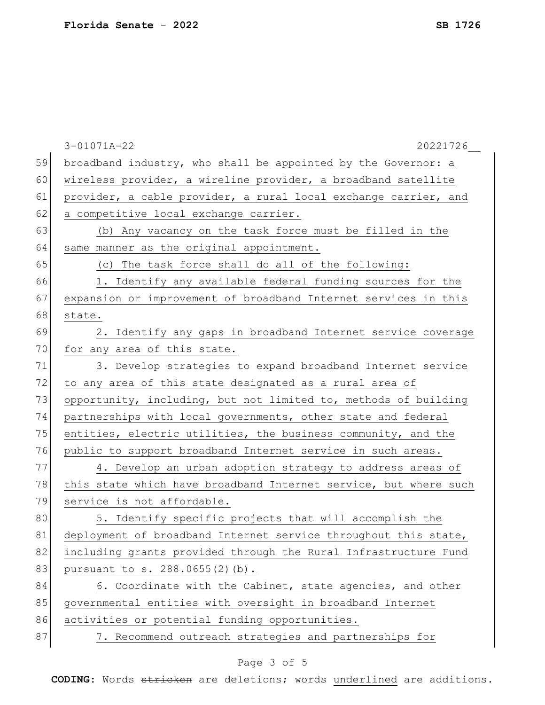|    | $3 - 01071A - 22$<br>20221726                                    |
|----|------------------------------------------------------------------|
| 59 | broadband industry, who shall be appointed by the Governor: a    |
| 60 | wireless provider, a wireline provider, a broadband satellite    |
| 61 | provider, a cable provider, a rural local exchange carrier, and  |
| 62 | a competitive local exchange carrier.                            |
| 63 | (b) Any vacancy on the task force must be filled in the          |
| 64 | same manner as the original appointment.                         |
| 65 | (c) The task force shall do all of the following:                |
| 66 | 1. Identify any available federal funding sources for the        |
| 67 | expansion or improvement of broadband Internet services in this  |
| 68 | state.                                                           |
| 69 | 2. Identify any gaps in broadband Internet service coverage      |
| 70 | for any area of this state.                                      |
| 71 | 3. Develop strategies to expand broadband Internet service       |
| 72 | to any area of this state designated as a rural area of          |
| 73 | opportunity, including, but not limited to, methods of building  |
| 74 | partnerships with local governments, other state and federal     |
| 75 | entities, electric utilities, the business community, and the    |
| 76 | public to support broadband Internet service in such areas.      |
| 77 | 4. Develop an urban adoption strategy to address areas of        |
| 78 | this state which have broadband Internet service, but where such |
| 79 | service is not affordable.                                       |
| 80 | 5. Identify specific projects that will accomplish the           |
| 81 | deployment of broadband Internet service throughout this state,  |
| 82 | including grants provided through the Rural Infrastructure Fund  |
| 83 | pursuant to s. 288.0655(2)(b).                                   |
| 84 | 6. Coordinate with the Cabinet, state agencies, and other        |
| 85 | governmental entities with oversight in broadband Internet       |
| 86 | activities or potential funding opportunities.                   |
| 87 | 7. Recommend outreach strategies and partnerships for            |
|    |                                                                  |

## Page 3 of 5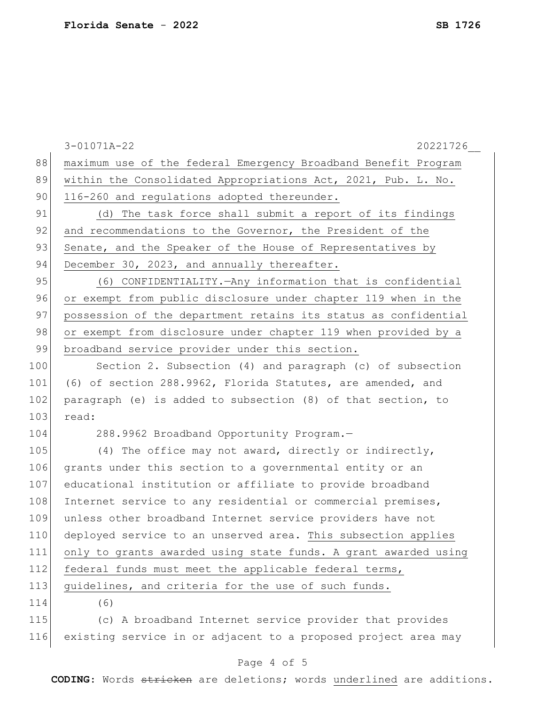|     | $3 - 01071A - 22$<br>20221726                                   |
|-----|-----------------------------------------------------------------|
| 88  | maximum use of the federal Emergency Broadband Benefit Program  |
| 89  | within the Consolidated Appropriations Act, 2021, Pub. L. No.   |
| 90  | 116-260 and regulations adopted thereunder.                     |
| 91  | (d) The task force shall submit a report of its findings        |
| 92  | and recommendations to the Governor, the President of the       |
| 93  | Senate, and the Speaker of the House of Representatives by      |
| 94  | December 30, 2023, and annually thereafter.                     |
| 95  | (6) CONFIDENTIALITY. - Any information that is confidential     |
| 96  | or exempt from public disclosure under chapter 119 when in the  |
| 97  | possession of the department retains its status as confidential |
| 98  | or exempt from disclosure under chapter 119 when provided by a  |
| 99  | broadband service provider under this section.                  |
| 100 | Section 2. Subsection (4) and paragraph (c) of subsection       |
| 101 | (6) of section 288.9962, Florida Statutes, are amended, and     |
| 102 | paragraph (e) is added to subsection (8) of that section, to    |
| 103 | read:                                                           |
| 104 | 288.9962 Broadband Opportunity Program.-                        |
| 105 | (4) The office may not award, directly or indirectly,           |
| 106 | grants under this section to a governmental entity or an        |
| 107 | educational institution or affiliate to provide broadband       |
| 108 | Internet service to any residential or commercial premises,     |
| 109 | unless other broadband Internet service providers have not      |
| 110 | deployed service to an unserved area. This subsection applies   |
| 111 | only to grants awarded using state funds. A grant awarded using |
| 112 | federal funds must meet the applicable federal terms,           |
| 113 | guidelines, and criteria for the use of such funds.             |
| 114 | (6)                                                             |
| 115 | (c) A broadband Internet service provider that provides         |
| 116 | existing service in or adjacent to a proposed project area may  |
|     |                                                                 |

## Page 4 of 5